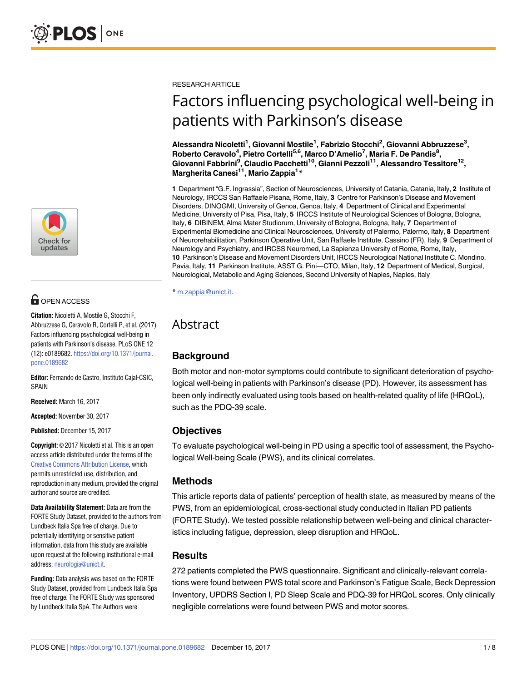

# **G** OPEN ACCESS

**Citation:** Nicoletti A, Mostile G, Stocchi F, Abbruzzese G, Ceravolo R, Cortelli P, et al. (2017) Factors influencing psychological well-being in patients with Parkinson's disease. PLoS ONE 12 (12): e0189682. [https://doi.org/10.1371/journal.](https://doi.org/10.1371/journal.pone.0189682) [pone.0189682](https://doi.org/10.1371/journal.pone.0189682)

**Editor:** Fernando de Castro, Instituto Cajal-CSIC, SPAIN

**Received:** March 16, 2017

**Accepted:** November 30, 2017

**Published:** December 15, 2017

**Copyright:** © 2017 Nicoletti et al. This is an open access article distributed under the terms of the Creative Commons [Attribution](http://creativecommons.org/licenses/by/4.0/) License, which permits unrestricted use, distribution, and reproduction in any medium, provided the original author and source are credited.

**Data Availability Statement:** Data are from the FORTE Study Dataset, provided to the authors from Lundbeck Italia Spa free of charge. Due to potentially identifying or sensitive patient information, data from this study are available upon request at the following institutional e-mail address: [neurologia@unict.it](mailto:neurologia@unict.it).

**Funding:** Data analysis was based on the FORTE Study Dataset, provided from Lundbeck Italia Spa free of charge. The FORTE Study was sponsored by Lundbeck Italia SpA. The Authors were

RESEARCH ARTICLE

# Factors influencing psychological well-being in patients with Parkinson's disease

**Alessandra Nicoletti1 , Giovanni Mostile1 , Fabrizio Stocchi2 , Giovanni Abbruzzese3 , Roberto Ceravolo4 , Pietro Cortelli5,6, Marco D'Amelio7 , Maria F. De Pandis8 , Giovanni Fabbrini9 , Claudio Pacchetti10, Gianni Pezzoli11, Alessandro Tessitore12, Margherita Canesi11, Mario Zappia1 \***

**1** Department "G.F. Ingrassia", Section of Neurosciences, University of Catania, Catania, Italy, **2** Institute of Neurology, IRCCS San Raffaele Pisana, Rome, Italy, **3** Centre for Parkinson's Disease and Movement Disorders, DINOGMI, University of Genoa, Genoa, Italy, **4** Department of Clinical and Experimental Medicine, University of Pisa, Pisa, Italy, **5** IRCCS Institute of Neurological Sciences of Bologna, Bologna, Italy, **6** DIBINEM, Alma Mater Studiorum, University of Bologna, Bologna, Italy, **7** Department of Experimental Biomedicine and Clinical Neurosciences, University of Palermo, Palermo, Italy, **8** Department of Neurorehabilitation, Parkinson Operative Unit, San Raffaele Institute, Cassino (FR), Italy, **9** Department of Neurology and Psychiatry, and IRCSS Neuromed, La Sapienza University of Rome, Rome, Italy, **10** Parkinson's Disease and Movement Disorders Unit, IRCCS Neurological National Institute C. Mondino, Pavia, Italy, **11** Parkinson Institute, ASST G. Pini—CTO, Milan, Italy, **12** Department of Medical, Surgical, Neurological, Metabolic and Aging Sciences, Second University of Naples, Naples, Italy

\* m.zappia@unict.it.

# Abstract

# **Background**

Both motor and non-motor symptoms could contribute to significant deterioration of psychological well-being in patients with Parkinson's disease (PD). However, its assessment has been only indirectly evaluated using tools based on health-related quality of life (HRQoL), such as the PDQ-39 scale.

# **Objectives**

To evaluate psychological well-being in PD using a specific tool of assessment, the Psychological Well-being Scale (PWS), and its clinical correlates.

#### **Methods**

This article reports data of patients' perception of health state, as measured by means of the PWS, from an epidemiological, cross-sectional study conducted in Italian PD patients (FORTE Study). We tested possible relationship between well-being and clinical characteristics including fatigue, depression, sleep disruption and HRQoL.

#### **Results**

272 patients completed the PWS questionnaire. Significant and clinically-relevant correlations were found between PWS total score and Parkinson's Fatigue Scale, Beck Depression Inventory, UPDRS Section I, PD Sleep Scale and PDQ-39 for HRQoL scores. Only clinically negligible correlations were found between PWS and motor scores.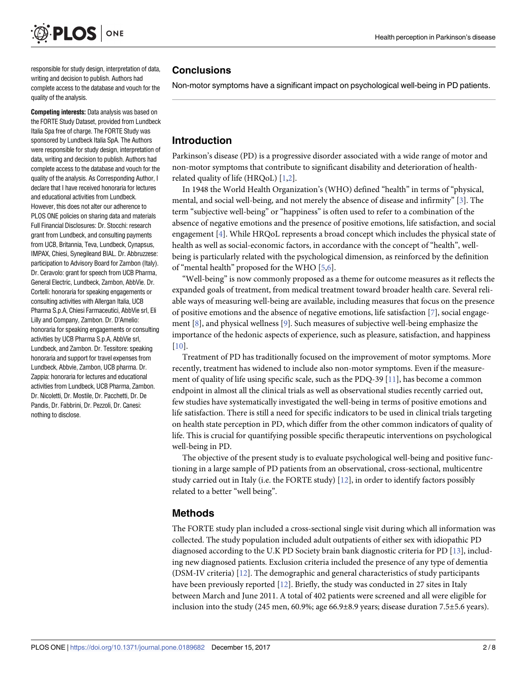<span id="page-1-0"></span>

responsible for study design, interpretation of data, writing and decision to publish. Authors had complete access to the database and vouch for the quality of the analysis.

**Competing interests:** Data analysis was based on the FORTE Study Dataset, provided from Lundbeck Italia Spa free of charge. The FORTE Study was sponsored by Lundbeck Italia SpA. The Authors were responsible for study design, interpretation of data, writing and decision to publish. Authors had complete access to the database and vouch for the quality of the analysis. As Corresponding Author, I declare that I have received honoraria for lectures and educational activities from Lundbeck. However, this does not alter our adherence to PLOS ONE policies on sharing data and materials Full Financial Disclosures: Dr. Stocchi: research grant from Lundbeck, and consulting payments from UCB, Britannia, Teva, Lundbeck, Cynapsus, IMPAX, Chiesi, Synegileand BIAL. Dr. Abbruzzese: participation to Advisory Board for Zambon (Italy). Dr. Ceravolo: grant for speech from UCB Pharma, General Electric, Lundbeck, Zambon, AbbVie. Dr. Cortelli: honoraria for speaking engagements or consulting activities with Allergan Italia, UCB Pharma S.p.A, Chiesi Farmaceutici, AbbVie srl, Eli Lilly and Company, Zambon. Dr. D'Amelio: honoraria for speaking engagements or consulting activities by UCB Pharma S.p.A, AbbVie srl, Lundbeck, and Zambon. Dr. Tessitore: speaking honoraria and support for travel expenses from Lundbeck, Abbvie, Zambon, UCB pharma. Dr. Zappia: honoraria for lectures and educational activities from Lundbeck, UCB Pharma, Zambon. Dr. Nicoletti, Dr. Mostile, Dr. Pacchetti, Dr. De Pandis, Dr. Fabbrini, Dr. Pezzoli, Dr. Canesi: nothing to disclose.

## **Conclusions**

Non-motor symptoms have a significant impact on psychological well-being in PD patients.

## **Introduction**

Parkinson's disease (PD) is a progressive disorder associated with a wide range of motor and non-motor symptoms that contribute to significant disability and deterioration of healthrelated quality of life (HRQoL) [[1,2\]](#page-6-0).

In 1948 the World Health Organization's (WHO) defined "health" in terms of "physical, mental, and social well-being, and not merely the absence of disease and infirmity" [[3\]](#page-6-0). The term "subjective well-being" or "happiness" is often used to refer to a combination of the absence of negative emotions and the presence of positive emotions, life satisfaction, and social engagement [\[4\]](#page-6-0). While HRQoL represents a broad concept which includes the physical state of health as well as social-economic factors, in accordance with the concept of "health", wellbeing is particularly related with the psychological dimension, as reinforced by the definition of "mental health" proposed for the WHO [\[5,6\]](#page-6-0).

"Well-being" is now commonly proposed as a theme for outcome measures as it reflects the expanded goals of treatment, from medical treatment toward broader health care. Several reliable ways of measuring well-being are available, including measures that focus on the presence of positive emotions and the absence of negative emotions, life satisfaction [\[7](#page-7-0)], social engagement [\[8](#page-7-0)], and physical wellness [\[9](#page-7-0)]. Such measures of subjective well-being emphasize the importance of the hedonic aspects of experience, such as pleasure, satisfaction, and happiness [\[10\]](#page-7-0).

Treatment of PD has traditionally focused on the improvement of motor symptoms. More recently, treatment has widened to include also non-motor symptoms. Even if the measurement of quality of life using specific scale, such as the PDQ-39 [\[11\]](#page-7-0), has become a common endpoint in almost all the clinical trials as well as observational studies recently carried out, few studies have systematically investigated the well-being in terms of positive emotions and life satisfaction. There is still a need for specific indicators to be used in clinical trials targeting on health state perception in PD, which differ from the other common indicators of quality of life. This is crucial for quantifying possible specific therapeutic interventions on psychological well-being in PD.

The objective of the present study is to evaluate psychological well-being and positive functioning in a large sample of PD patients from an observational, cross-sectional, multicentre study carried out in Italy (i.e. the FORTE study) [\[12\]](#page-7-0), in order to identify factors possibly related to a better "well being".

#### **Methods**

The FORTE study plan included a cross-sectional single visit during which all information was collected. The study population included adult outpatients of either sex with idiopathic PD diagnosed according to the U.K PD Society brain bank diagnostic criteria for PD [[13](#page-7-0)], including new diagnosed patients. Exclusion criteria included the presence of any type of dementia (DSM-IV criteria) [\[12\]](#page-7-0). The demographic and general characteristics of study participants have been previously reported [\[12\]](#page-7-0). Briefly, the study was conducted in 27 sites in Italy between March and June 2011. A total of 402 patients were screened and all were eligible for inclusion into the study (245 men, 60.9%; age 66.9±8.9 years; disease duration 7.5±5.6 years).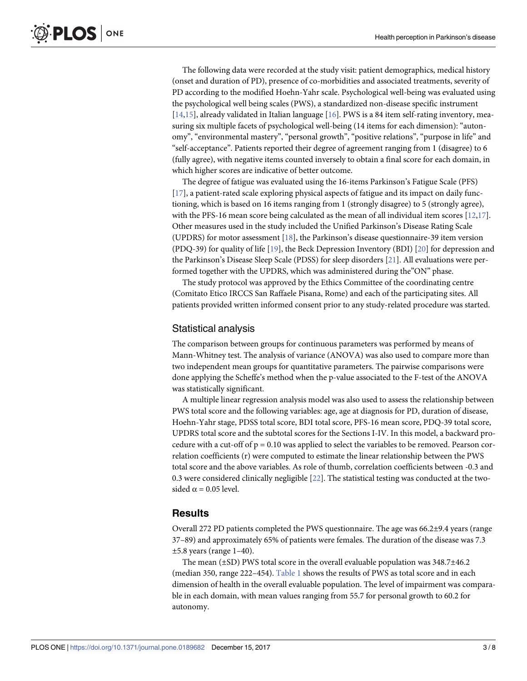<span id="page-2-0"></span>The following data were recorded at the study visit: patient demographics, medical history (onset and duration of PD), presence of co-morbidities and associated treatments, severity of PD according to the modified Hoehn-Yahr scale. Psychological well-being was evaluated using the psychological well being scales (PWS), a standardized non-disease specific instrument [\[14,15\]](#page-7-0), already validated in Italian language [\[16\]](#page-7-0). PWS is a 84 item self-rating inventory, measuring six multiple facets of psychological well-being (14 items for each dimension): "autonomy", "environmental mastery", "personal growth", "positive relations", "purpose in life" and "self-acceptance". Patients reported their degree of agreement ranging from 1 (disagree) to 6 (fully agree), with negative items counted inversely to obtain a final score for each domain, in which higher scores are indicative of better outcome.

The degree of fatigue was evaluated using the 16-items Parkinson's Fatigue Scale (PFS) [\[17\]](#page-7-0), a patient-rated scale exploring physical aspects of fatigue and its impact on daily functioning, which is based on 16 items ranging from 1 (strongly disagree) to 5 (strongly agree), with the PFS-16 mean score being calculated as the mean of all individual item scores [[12,17\]](#page-7-0). Other measures used in the study included the Unified Parkinson's Disease Rating Scale (UPDRS) for motor assessment [[18](#page-7-0)], the Parkinson's disease questionnaire-39 item version (PDQ-39) for quality of life [[19](#page-7-0)], the Beck Depression Inventory (BDI) [\[20\]](#page-7-0) for depression and the Parkinson's Disease Sleep Scale (PDSS) for sleep disorders [\[21\]](#page-7-0). All evaluations were performed together with the UPDRS, which was administered during the"ON" phase.

The study protocol was approved by the Ethics Committee of the coordinating centre (Comitato Etico IRCCS San Raffaele Pisana, Rome) and each of the participating sites. All patients provided written informed consent prior to any study-related procedure was started.

#### Statistical analysis

The comparison between groups for continuous parameters was performed by means of Mann-Whitney test. The analysis of variance (ANOVA) was also used to compare more than two independent mean groups for quantitative parameters. The pairwise comparisons were done applying the Scheffe's method when the p-value associated to the F-test of the ANOVA was statistically significant.

A multiple linear regression analysis model was also used to assess the relationship between PWS total score and the following variables: age, age at diagnosis for PD, duration of disease, Hoehn-Yahr stage, PDSS total score, BDI total score, PFS-16 mean score, PDQ-39 total score, UPDRS total score and the subtotal scores for the Sections I-IV. In this model, a backward procedure with a cut-off of  $p = 0.10$  was applied to select the variables to be removed. Pearson correlation coefficients (r) were computed to estimate the linear relationship between the PWS total score and the above variables. As role of thumb, correlation coefficients between -0.3 and 0.3 were considered clinically negligible [\[22\]](#page-7-0). The statistical testing was conducted at the twosided  $\alpha = 0.05$  level.

#### **Results**

Overall 272 PD patients completed the PWS questionnaire. The age was 66.2±9.4 years (range 37–89) and approximately 65% of patients were females. The duration of the disease was 7.3  $\pm$ 5.8 years (range 1–40).

The mean (±SD) PWS total score in the overall evaluable population was 348.7±46.2 (median 350, range 222–454). [Table](#page-3-0) 1 shows the results of PWS as total score and in each dimension of health in the overall evaluable population. The level of impairment was comparable in each domain, with mean values ranging from 55.7 for personal growth to 60.2 for autonomy.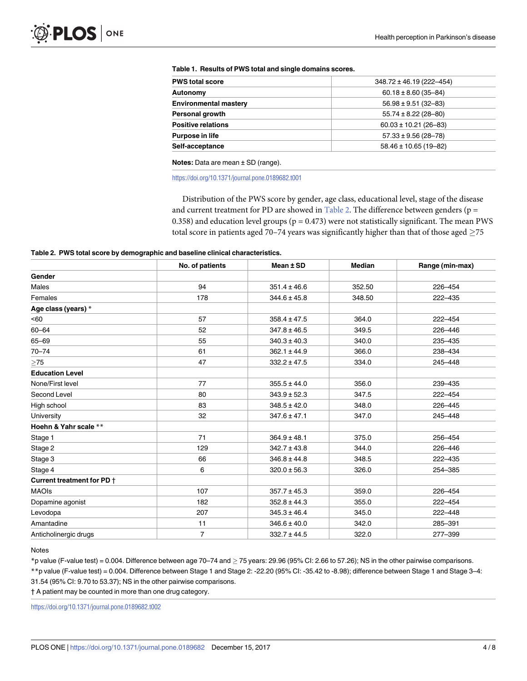| <b>PWS total score</b>       | $348.72 \pm 46.19$ (222-454) |
|------------------------------|------------------------------|
| Autonomy                     | $60.18 \pm 8.60$ (35-84)     |
| <b>Environmental mastery</b> | $56.98 \pm 9.51$ (32-83)     |
| Personal growth              | $55.74 \pm 8.22$ (28-80)     |
| <b>Positive relations</b>    | $60.03 \pm 10.21$ (26-83)    |
| Purpose in life              | $57.33 \pm 9.56$ (28-78)     |
| Self-acceptance              | $58.46 \pm 10.65$ (19-82)    |
|                              |                              |

#### <span id="page-3-0"></span>**[Table](#page-2-0) 1. Results of PWS total and single domains scores.**

**Notes:** Data are mean ± SD (range).

<https://doi.org/10.1371/journal.pone.0189682.t001>

Distribution of the PWS score by gender, age class, educational level, stage of the disease and current treatment for PD are showed in Table 2. The difference between genders ( $p =$ 0.358) and education level groups ( $p = 0.473$ ) were not statistically significant. The mean PWS total score in patients aged 70-74 years was significantly higher than that of those aged  $\geq$ 75

#### **Table 2. PWS total score by demographic and baseline clinical characteristics.**

|                            | No. of patients | $Mean \pm SD$    | <b>Median</b> | Range (min-max) |  |
|----------------------------|-----------------|------------------|---------------|-----------------|--|
| Gender                     |                 |                  |               |                 |  |
| Males                      | 94              | $351.4 \pm 46.6$ | 352.50        | 226-454         |  |
| Females                    | 178             | $344.6 \pm 45.8$ | 348.50        | 222-435         |  |
| Age class (years) *        |                 |                  |               |                 |  |
| $50 - 60$                  | 57              | $358.4 \pm 47.5$ | 364.0         | 222-454         |  |
| $60 - 64$                  | 52              | $347.8 \pm 46.5$ | 349.5         | 226-446         |  |
| 65-69                      | 55              | $340.3 \pm 40.3$ | 340.0         | 235-435         |  |
| $70 - 74$                  | 61              | $362.1 \pm 44.9$ | 366.0         | 238-434         |  |
| $>75$                      | 47              | $332.2 \pm 47.5$ | 334.0         | 245-448         |  |
| <b>Education Level</b>     |                 |                  |               |                 |  |
| None/First level           | 77              | $355.5 \pm 44.0$ | 356.0         | 239-435         |  |
| Second Level               | 80              | $343.9 \pm 52.3$ | 347.5         | 222-454         |  |
| High school                | 83              | $348.5 \pm 42.0$ | 348.0         | 226-445         |  |
| University                 | 32              | $347.6 \pm 47.1$ | 347.0         | 245-448         |  |
| Hoehn & Yahr scale **      |                 |                  |               |                 |  |
| Stage 1                    | 71              | $364.9 \pm 48.1$ | 375.0         | 256-454         |  |
| Stage 2                    | 129             | $342.7 \pm 43.8$ | 344.0         | 226-446         |  |
| Stage 3                    | 66              | $346.8 \pm 44.8$ | 348.5         | 222-435         |  |
| Stage 4                    | 6               | $320.0 \pm 56.3$ | 326.0         | 254-385         |  |
| Current treatment for PD + |                 |                  |               |                 |  |
| <b>MAOIs</b>               | 107             | $357.7 \pm 45.3$ | 359.0         | 226-454         |  |
| Dopamine agonist           | 182             | $352.8 \pm 44.3$ | 355.0         | 222-454         |  |
| Levodopa                   | 207             | $345.3 \pm 46.4$ | 345.0         | 222-448         |  |
| Amantadine                 | 11              | $346.6 \pm 40.0$ | 342.0         | 285-391         |  |
| Anticholinergic drugs      | $\overline{7}$  | $332.7 \pm 44.5$ | 322.0         | 277-399         |  |

#### Notes

\*p value (F-value test) = 0.004. Difference between age 70–74 and 75 years: 29.96 (95% CI: 2.66 to 57.26); NS in the other pairwise comparisons.

\*\*p value (F-value test) = 0.004. Difference between Stage 1 and Stage 2: -22.20 (95% CI: -35.42 to -8.98); difference between Stage 1 and Stage 3–4:

31.54 (95% CI: 9.70 to 53.37); NS in the other pairwise comparisons.

† A patient may be counted in more than one drug category.

<https://doi.org/10.1371/journal.pone.0189682.t002>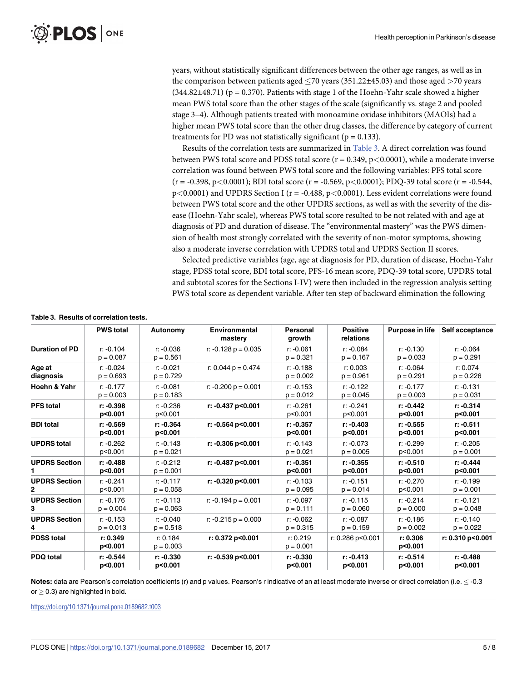years, without statistically significant differences between the other age ranges, as well as in the comparison between patients aged 70 years (351.22±45.03) and those aged *>*70 years  $(344.82\pm48.71)$  (p = 0.370). Patients with stage 1 of the Hoehn-Yahr scale showed a higher mean PWS total score than the other stages of the scale (significantly vs. stage 2 and pooled stage 3–4). Although patients treated with monoamine oxidase inhibitors (MAOIs) had a higher mean PWS total score than the other drug classes, the difference by category of current treatments for PD was not statistically significant ( $p = 0.133$ ).

Results of the correlation tests are summarized in Table 3. A direct correlation was found between PWS total score and PDSS total score (r = 0.349, p*<*0.0001), while a moderate inverse correlation was found between PWS total score and the following variables: PFS total score (r = -0.398, p*<*0.0001); BDI total score (r = -0.569, p*<*0.0001); PDQ-39 total score (r = -0.544, p*<*0.0001) and UPDRS Section I (r = -0.488, p*<*0.0001). Less evident correlations were found between PWS total score and the other UPDRS sections, as well as with the severity of the disease (Hoehn-Yahr scale), whereas PWS total score resulted to be not related with and age at diagnosis of PD and duration of disease. The "environmental mastery" was the PWS dimension of health most strongly correlated with the severity of non-motor symptoms, showing also a moderate inverse correlation with UPDRS total and UPDRS Section II scores.

Selected predictive variables (age, age at diagnosis for PD, duration of disease, Hoehn-Yahr stage, PDSS total score, BDI total score, PFS-16 mean score, PDQ-39 total score, UPDRS total and subtotal scores for the Sections I-IV) were then included in the regression analysis setting PWS total score as dependent variable. After ten step of backward elimination the following

|                           | <b>PWS total</b>           | Autonomy                   | Environmental<br>mastery | Personal<br>growth         | <b>Positive</b><br>relations | Purpose in life            | Self acceptance            |
|---------------------------|----------------------------|----------------------------|--------------------------|----------------------------|------------------------------|----------------------------|----------------------------|
| <b>Duration of PD</b>     | $r: -0.104$<br>$p = 0.087$ | $r: -0.036$<br>$p = 0.561$ | r: $-0.128 p = 0.035$    | $r: -0.061$<br>$p = 0.321$ | $r: -0.084$<br>$p = 0.167$   | $r: -0.130$<br>$p = 0.033$ | $r: -0.064$<br>$p = 0.291$ |
| Age at<br>diagnosis       | $r: -0.024$<br>$p = 0.693$ | $r: -0.021$<br>$p = 0.729$ | r: $0.044 p = 0.474$     | $r: -0.188$<br>$p = 0.002$ | r: 0.003<br>$p = 0.961$      | $r: -0.064$<br>$p = 0.291$ | r: 0.074<br>$p = 0.226$    |
| Hoehn & Yahr              | $r: -0.177$<br>$p = 0.003$ | $r: -0.081$<br>$p = 0.183$ | r: $-0.200 p = 0.001$    | $r: -0.153$<br>$p = 0.012$ | $r: -0.122$<br>$p = 0.045$   | $r: -0.177$<br>$p = 0.003$ | $r: -0.131$<br>$p = 0.031$ |
| <b>PFS total</b>          | $r: -0.398$<br>p<0.001     | $r: -0.236$<br>p<0.001     | r: -0.437 p<0.001        | $r: -0.261$<br>p<0.001     | $r: -0.241$<br>p<0.001       | $r: -0.442$<br>p<0.001     | $r: -0.314$<br>p<0.001     |
| <b>BDI</b> total          | $r: -0.569$<br>p<0.001     | $r: -0.364$<br>p<0.001     | r: -0.564 p<0.001        | $r: -0.357$<br>p<0.001     | $r: -0.403$<br>p<0.001       | $r: -0.555$<br>p<0.001     | $r: -0.511$<br>p<0.001     |
| <b>UPDRS</b> total        | $r: -0.262$<br>p<0.001     | $r: -0.143$<br>$p = 0.021$ | r: -0.306 p<0.001        | $r: -0.143$<br>$p = 0.021$ | $r: -0.073$<br>$p = 0.005$   | $r: -0.299$<br>p<0.001     | $r: -0.205$<br>$p = 0.001$ |
| <b>UPDRS Section</b>      | $r: -0.488$<br>p<0.001     | $r: -0.212$<br>$p = 0.001$ | r: -0.487 p<0.001        | $r: -0.351$<br>p<0.001     | $r: -0.355$<br>p<0.001       | $r: -0.510$<br>p<0.001     | $r: -0.444$<br>p<0.001     |
| <b>UPDRS Section</b><br>2 | $r: -0.241$<br>p<0.001     | $r: -0.117$<br>$p = 0.058$ | r: -0.320 p<0.001        | $r: -0.103$<br>$p = 0.095$ | $r: -0.151$<br>$p = 0.014$   | $r: -0.270$<br>p<0.001     | $r: -0.199$<br>$p = 0.001$ |
| <b>UPDRS Section</b><br>3 | $r: -0.176$<br>$p = 0.004$ | $r: -0.113$<br>$p = 0.063$ | r: $-0.194 p = 0.001$    | $r: -0.097$<br>$p = 0.111$ | $r: -0.115$<br>$p = 0.060$   | $r: -0.214$<br>$p = 0.000$ | $r: -0.121$<br>$p = 0.048$ |
| <b>UPDRS Section</b><br>4 | $r: -0.153$<br>$p = 0.013$ | $r: -0.040$<br>$p = 0.518$ | r: $-0.215 p = 0.000$    | $r: -0.062$<br>$p = 0.315$ | $r: -0.087$<br>$p = 0.159$   | $r: -0.186$<br>$p = 0.002$ | $r: -0.140$<br>$p = 0.022$ |
| <b>PDSS total</b>         | r: 0.349<br>p<0.001        | r: 0.184<br>$p = 0.003$    | r: 0.372 p<0.001         | r: 0.219<br>$p = 0.001$    | r: 0.286 p<0.001             | r: 0.306<br>p<0.001        | r: 0.310 p<0.001           |
| <b>PDQ</b> total          | $r: -0.544$<br>p<0.001     | $r: -0.330$<br>p<0.001     | r: -0.539 p<0.001        | $r: -0.330$<br>p<0.001     | $r: -0.413$<br>p<0.001       | $r: -0.514$<br>p<0.001     | $r: -0.488$<br>p<0.001     |

#### **Table 3. Results of correlation tests.**

Notes: data are Pearson's correlation coefficients (r) and p values. Pearson's r indicative of an at least moderate inverse or direct correlation (i.e.  $\leq$  -0.3 or  $\geq$  0.3) are highlighted in bold.

<https://doi.org/10.1371/journal.pone.0189682.t003>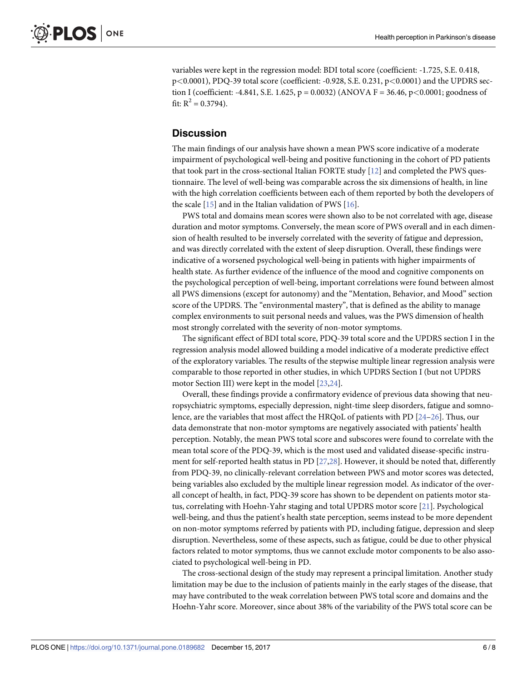<span id="page-5-0"></span>variables were kept in the regression model: BDI total score (coefficient: -1.725, S.E. 0.418, p*<*0.0001), PDQ-39 total score (coefficient: -0.928, S.E. 0.231, p*<*0.0001) and the UPDRS section I (coefficient: -4.841, S.E. 1.625, p = 0.0032) (ANOVA F = 36.46, p*<*0.0001; goodness of fit:  $R^2 = 0.3794$ ).

#### **Discussion**

The main findings of our analysis have shown a mean PWS score indicative of a moderate impairment of psychological well-being and positive functioning in the cohort of PD patients that took part in the cross-sectional Italian FORTE study [[12](#page-7-0)] and completed the PWS questionnaire. The level of well-being was comparable across the six dimensions of health, in line with the high correlation coefficients between each of them reported by both the developers of the scale [\[15\]](#page-7-0) and in the Italian validation of PWS [\[16\]](#page-7-0).

PWS total and domains mean scores were shown also to be not correlated with age, disease duration and motor symptoms. Conversely, the mean score of PWS overall and in each dimension of health resulted to be inversely correlated with the severity of fatigue and depression, and was directly correlated with the extent of sleep disruption. Overall, these findings were indicative of a worsened psychological well-being in patients with higher impairments of health state. As further evidence of the influence of the mood and cognitive components on the psychological perception of well-being, important correlations were found between almost all PWS dimensions (except for autonomy) and the "Mentation, Behavior, and Mood" section score of the UPDRS. The "environmental mastery", that is defined as the ability to manage complex environments to suit personal needs and values, was the PWS dimension of health most strongly correlated with the severity of non-motor symptoms.

The significant effect of BDI total score, PDQ-39 total score and the UPDRS section I in the regression analysis model allowed building a model indicative of a moderate predictive effect of the exploratory variables. The results of the stepwise multiple linear regression analysis were comparable to those reported in other studies, in which UPDRS Section I (but not UPDRS motor Section III) were kept in the model [\[23,24\]](#page-7-0).

Overall, these findings provide a confirmatory evidence of previous data showing that neuropsychiatric symptoms, especially depression, night-time sleep disorders, fatigue and somnolence, are the variables that most affect the HRQoL of patients with PD [\[24–26](#page-7-0)]. Thus, our data demonstrate that non-motor symptoms are negatively associated with patients' health perception. Notably, the mean PWS total score and subscores were found to correlate with the mean total score of the PDQ-39, which is the most used and validated disease-specific instrument for self-reported health status in PD [[27](#page-7-0),[28](#page-7-0)]. However, it should be noted that, differently from PDQ-39, no clinically-relevant correlation between PWS and motor scores was detected, being variables also excluded by the multiple linear regression model. As indicator of the overall concept of health, in fact, PDQ-39 score has shown to be dependent on patients motor status, correlating with Hoehn-Yahr staging and total UPDRS motor score [\[21\]](#page-7-0). Psychological well-being, and thus the patient's health state perception, seems instead to be more dependent on non-motor symptoms referred by patients with PD, including fatigue, depression and sleep disruption. Nevertheless, some of these aspects, such as fatigue, could be due to other physical factors related to motor symptoms, thus we cannot exclude motor components to be also associated to psychological well-being in PD.

The cross-sectional design of the study may represent a principal limitation. Another study limitation may be due to the inclusion of patients mainly in the early stages of the disease, that may have contributed to the weak correlation between PWS total score and domains and the Hoehn-Yahr score. Moreover, since about 38% of the variability of the PWS total score can be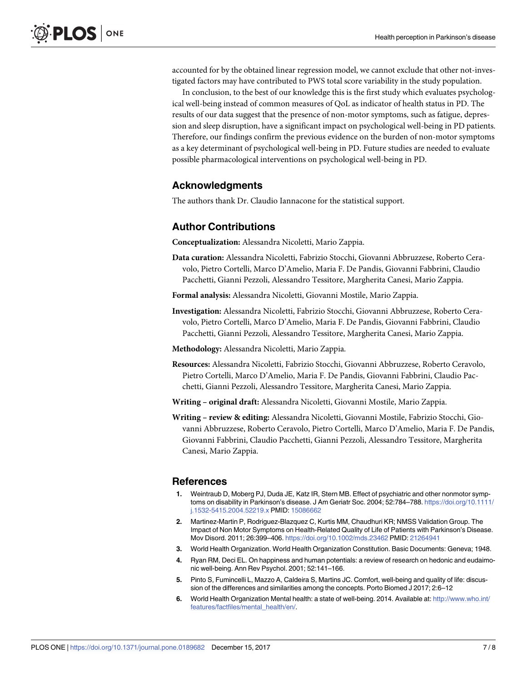<span id="page-6-0"></span>accounted for by the obtained linear regression model, we cannot exclude that other not-investigated factors may have contributed to PWS total score variability in the study population.

In conclusion, to the best of our knowledge this is the first study which evaluates psychological well-being instead of common measures of QoL as indicator of health status in PD. The results of our data suggest that the presence of non-motor symptoms, such as fatigue, depression and sleep disruption, have a significant impact on psychological well-being in PD patients. Therefore, our findings confirm the previous evidence on the burden of non-motor symptoms as a key determinant of psychological well-being in PD. Future studies are needed to evaluate possible pharmacological interventions on psychological well-being in PD.

#### **Acknowledgments**

The authors thank Dr. Claudio Iannacone for the statistical support.

## **Author Contributions**

**Conceptualization:** Alessandra Nicoletti, Mario Zappia.

- **Data curation:** Alessandra Nicoletti, Fabrizio Stocchi, Giovanni Abbruzzese, Roberto Ceravolo, Pietro Cortelli, Marco D'Amelio, Maria F. De Pandis, Giovanni Fabbrini, Claudio Pacchetti, Gianni Pezzoli, Alessandro Tessitore, Margherita Canesi, Mario Zappia.
- **Formal analysis:** Alessandra Nicoletti, Giovanni Mostile, Mario Zappia.
- **Investigation:** Alessandra Nicoletti, Fabrizio Stocchi, Giovanni Abbruzzese, Roberto Ceravolo, Pietro Cortelli, Marco D'Amelio, Maria F. De Pandis, Giovanni Fabbrini, Claudio Pacchetti, Gianni Pezzoli, Alessandro Tessitore, Margherita Canesi, Mario Zappia.
- **Methodology:** Alessandra Nicoletti, Mario Zappia.
- **Resources:** Alessandra Nicoletti, Fabrizio Stocchi, Giovanni Abbruzzese, Roberto Ceravolo, Pietro Cortelli, Marco D'Amelio, Maria F. De Pandis, Giovanni Fabbrini, Claudio Pacchetti, Gianni Pezzoli, Alessandro Tessitore, Margherita Canesi, Mario Zappia.
- **Writing – original draft:** Alessandra Nicoletti, Giovanni Mostile, Mario Zappia.
- **Writing – review & editing:** Alessandra Nicoletti, Giovanni Mostile, Fabrizio Stocchi, Giovanni Abbruzzese, Roberto Ceravolo, Pietro Cortelli, Marco D'Amelio, Maria F. De Pandis, Giovanni Fabbrini, Claudio Pacchetti, Gianni Pezzoli, Alessandro Tessitore, Margherita Canesi, Mario Zappia.

#### **References**

- **[1](#page-1-0).** Weintraub D, Moberg PJ, Duda JE, Katz IR, Stern MB. Effect of psychiatric and other nonmotor symptoms on disability in Parkinson's disease. J Am Geriatr Soc. 2004; 52:784–788. [https://doi.org/10.1111/](https://doi.org/10.1111/j.1532-5415.2004.52219.x) [j.1532-5415.2004.52219.x](https://doi.org/10.1111/j.1532-5415.2004.52219.x) PMID: [15086662](http://www.ncbi.nlm.nih.gov/pubmed/15086662)
- **[2](#page-1-0).** Martinez-Martin P, Rodriguez-Blazquez C, Kurtis MM, Chaudhuri KR; NMSS Validation Group. The Impact of Non Motor Symptoms on Health-Related Quality of Life of Patients with Parkinson's Disease. Mov Disord. 2011; 26:399–406. <https://doi.org/10.1002/mds.23462> PMID: [21264941](http://www.ncbi.nlm.nih.gov/pubmed/21264941)
- **[3](#page-1-0).** World Health Organization. World Health Organization Constitution. Basic Documents: Geneva; 1948.
- **[4](#page-1-0).** Ryan RM, Deci EL. On happiness and human potentials: a review of research on hedonic and eudaimonic well-being. Ann Rev Psychol. 2001; 52:141–166.
- **[5](#page-1-0).** Pinto S, Fumincelli L, Mazzo A, Caldeira S, Martins JC. Comfort, well-being and quality of life: discussion of the differences and similarities among the concepts. Porto Biomed J 2017; 2:6–12
- **[6](#page-1-0).** World Health Organization Mental health: a state of well-being. 2014. Available at: [http://www.who.int/](http://www.who.int/features/factfiles/mental_health/en/) [features/factfiles/mental\\_health/en/](http://www.who.int/features/factfiles/mental_health/en/).